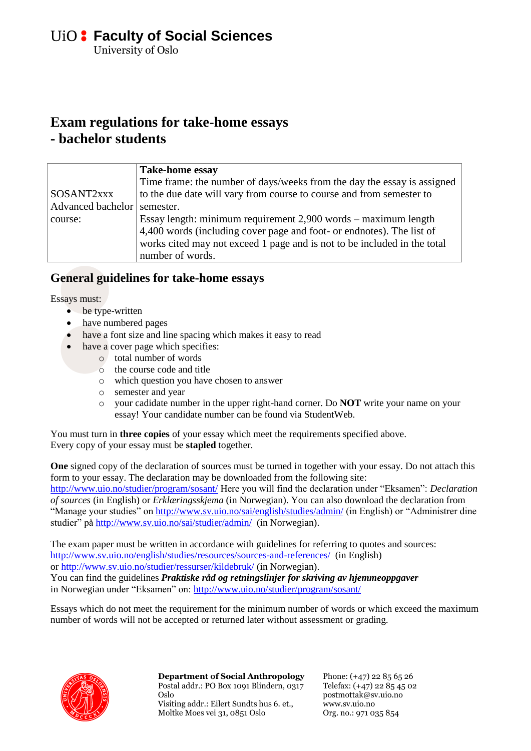## **Faculty of Social Sciences**

University of Oslo

## **Exam regulations for take-home essays - bachelor students**

|                   | <b>Take-home essay</b>                                                   |
|-------------------|--------------------------------------------------------------------------|
|                   | Time frame: the number of days/weeks from the day the essay is assigned  |
| SOSANT2xxx        | to the due date will vary from course to course and from semester to     |
| Advanced bachelor | semester.                                                                |
| course:           | Essay length: minimum requirement 2,900 words – maximum length           |
|                   | 4,400 words (including cover page and foot- or endnotes). The list of    |
|                   | works cited may not exceed 1 page and is not to be included in the total |
|                   | number of words.                                                         |

## **General guidelines for take-home essays**

Essays must:

- be type-written
- have numbered pages
- have a font size and line spacing which makes it easy to read
- have a cover page which specifies:
	- o total number of words
	- o the course code and title
	- o which question you have chosen to answer
	- o semester and year
	- o your cadidate number in the upper right-hand corner. Do **NOT** write your name on your essay! Your candidate number can be found via StudentWeb.

You must turn in **three copies** of your essay which meet the requirements specified above. Every copy of your essay must be **stapled** together.

**One** signed copy of the declaration of sources must be turned in together with your essay. Do not attach this form to your essay. The declaration may be downloaded from the following site: <http://www.uio.no/studier/program/sosant/> Here you will find the declaration under "Eksamen": *Declaration of sources* (in English) or *Erklæringsskjema* (in Norwegian). You can also download the declaration from

"Manage your studies" on<http://www.sv.uio.no/sai/english/studies/admin/> (in English) or "Administrer dine studier" på<http://www.sv.uio.no/sai/studier/admin/>(in Norwegian).

The exam paper must be written in accordance with guidelines for referring to quotes and sources: <http://www.sv.uio.no/english/studies/resources/sources-and-references/> (in English) or<http://www.sv.uio.no/studier/ressurser/kildebruk/> (in Norwegian). You can find the guidelines *Praktiske råd og retningslinjer for skriving av hjemmeoppgaver*

in Norwegian under "Eksamen" on:<http://www.uio.no/studier/program/sosant/>

Essays which do not meet the requirement for the minimum number of words or which exceed the maximum number of words will not be accepted or returned later without assessment or grading.



**Department of Social Anthropology** Postal addr.: PO Box 1091 Blindern, 0317 Oslo Visiting addr.: Eilert Sundts hus 6. et., Moltke Moes vei 31, 0851 Oslo

Phone: (+47) 22 85 65 26 Telefax: (+47) 22 85 45 02 postmottak@sv.uio.no www.sv.uio.no Org. no.: 971 035 854